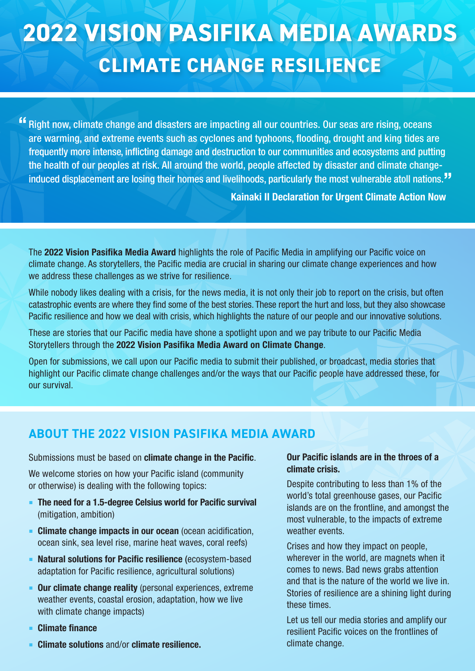# **2022 VISION PASIFIKA MEDIA AWARDS CLIMATE CHANGE RESILIENCE**

Right now, climate change and disasters are impacting all our countries. Our seas are rising, oceans are warming, and extreme events such as cyclones and typhoons, flooding, drought and king tides are frequently more intense, inflicting damage and destruction to our communities and ecosystems and putting the health of our peoples at risk. All around the world, people affected by disaster and climate changeinduced displacement are losing their homes and livelihoods, particularly the most vulnerable atoll nations. ""

Kainaki II Declaration for Urgent Climate Action Now

The 2022 Vision Pasifika Media Award highlights the role of Pacific Media in amplifying our Pacific voice on climate change. As storytellers, the Pacific media are crucial in sharing our climate change experiences and how we address these challenges as we strive for resilience.

While nobody likes dealing with a crisis, for the news media, it is not only their job to report on the crisis, but often catastrophic events are where they find some of the best stories. These report the hurt and loss, but they also showcase Pacific resilience and how we deal with crisis, which highlights the nature of our people and our innovative solutions.

These are stories that our Pacific media have shone a spotlight upon and we pay tribute to our Pacific Media Storytellers through the 2022 Vision Pasifika Media Award on Climate Change.

Open for submissions, we call upon our Pacific media to submit their published, or broadcast, media stories that highlight our Pacific climate change challenges and/or the ways that our Pacific people have addressed these, for our survival.

#### **ABOUT THE 2022 VISION PASIFIKA MEDIA AWARD**

Submissions must be based on **climate change in the Pacific.** 

We welcome stories on how your Pacific island (community or otherwise) is dealing with the following topics:

- **The need for a 1.5-degree Celsius world for Pacific survival** (mitigation, ambition)
- **EXTENDED Climate change impacts in our ocean** (ocean acidification, ocean sink, sea level rise, marine heat waves, coral reefs)
- **EXECTE Natural solutions for Pacific resilience** (ecosystem-based adaptation for Pacific resilience, agricultural solutions)
- **Our climate change reality** (personal experiences, extreme weather events, coastal erosion, adaptation, how we live with climate change impacts)
- **Climate finance**
- Climate solutions and/or climate resilience.

#### Our Pacific islands are in the throes of a climate crisis.

Despite contributing to less than 1% of the world's total greenhouse gases, our Pacific islands are on the frontline, and amongst the most vulnerable, to the impacts of extreme weather events

Crises and how they impact on people, wherever in the world, are magnets when it comes to news. Bad news grabs attention and that is the nature of the world we live in. Stories of resilience are a shining light during these times.

Let us tell our media stories and amplify our resilient Pacific voices on the frontlines of climate change.